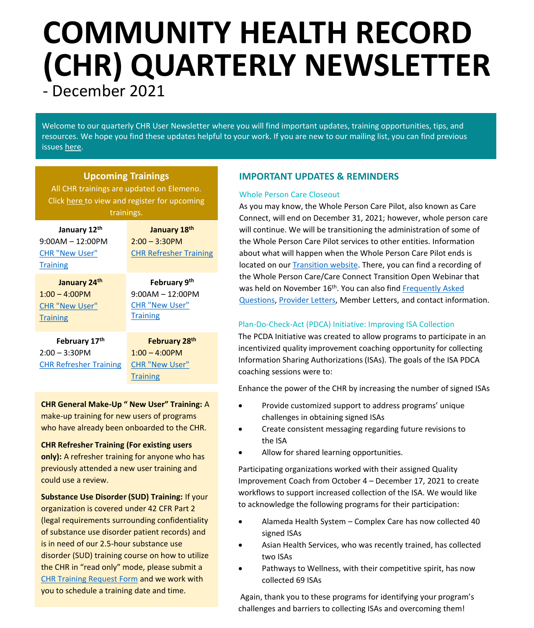# **COMMUNITY HEALTH RECORD (CHR) QUARTERLY NEWSLETTER**

- December 2021

Welcome to our quarterly CHR User Newsletter where you will find important updates, training opportunities, tips, and resources. We hope you find these updates helpful to your work. If you are new to our mailing list, you can find previous issues [here](https://careconnect.elemenohealth.com/#/resource/QR2fa4749dfbec3a1f0890?source=link&scrollTo=chr-user-newsletters).

## **Upcoming Trainings**

All CHR trainings are updated on Elemeno. Click [here](https://careconnect.ucsf.edu/ACCC/index.html) to view and register for upcoming trainings.

| January 12th<br>$9:00AM - 12:00PM$<br><b>CHR "New User"</b><br><b>Training</b> | January 18th<br>$2:00 - 3:30$ PM<br><b>CHR Refresher Training</b>              |
|--------------------------------------------------------------------------------|--------------------------------------------------------------------------------|
| January 24th<br>$1:00 - 4:00$ PM<br><b>CHR "New User"</b><br><b>Training</b>   | February 9th<br>$9:00AM - 12:00PM$<br><b>CHR "New User"</b><br><b>Training</b> |
| February 17th<br>$2:00 - 3:30$ PM<br><b>CHR Refresher Training</b>             | February 28th<br>$1:00 - 4:00$ PM<br><b>CHR "New User"</b><br><b>Training</b>  |

**CHR General Make-Up " New User" Training:** A make-up training for new users of programs who have already been onboarded to the CHR.

**CHR Refresher Training (For existing users only):** A refresher training for anyone who has previously attended a new user training and could use a review.

**Substance Use Disorder (SUD) Training:** If your organization is covered under 42 CFR Part 2 (legal requirements surrounding confidentiality of substance use disorder patient records) and is in need of our 2.5-hour substance use disorder (SUD) training course on how to utilize the CHR in "read only" mode, please submit a [CHR Training Request Form](https://app.smartsheet.com/b/form/dd6d97d97097489a91249b9284601400) and we work with you to schedule a training date and time.

## **IMPORTANT UPDATES & REMINDERS**

### Whole Person Care Closeout

As you may know, the Whole Person Care Pilot, also known as Care Connect, will end on December 31, 2021; however, whole person care will continue. We will be transitioning the administration of some of the Whole Person Care Pilot services to other entities. Information about what will happen when the Whole Person Care Pilot ends is located on our **Transition website**. There, you can find a recording of the Whole Person Care/Care Connect Transition Open Webinar that was held on November 16<sup>th</sup>. You can also find Frequently Asked [Questions, Provider Letters, Member Letters, and contact inform](http://accareconnect.org/wp-content/uploads/2021/11/WPC-AC3-Transition-FAQs-11-3-for-distribution.pdf)ation.

## Plan-Do-Check-Act (PDCA) Initiative: Improving ISA Collection

The PCDA Initiative was created to allow programs to participate in an incentivized quality improvement coaching opportunity for collecting Information Sharing Authorizations (ISAs). The goals of the ISA PDCA coaching sessions were to:

Enhance the power of the CHR by increasing the number of signed ISAs

- Provide customized support to address programs' unique challenges in obtaining signed ISAs
- Create consistent messaging regarding future revisions to the ISA
- Allow for shared learning opportunities.

Participating organizations worked with their assigned Quality Improvement Coach from October 4 – December 17, 2021 to create workflows to support increased collection of the ISA. We would like to acknowledge the following programs for their participation:

- Alameda Health System Complex Care has now collected 40 signed ISAs
- Asian Health Services, who was recently trained, has collected two ISAs
- Pathways to Wellness, with their competitive spirit, has now collected 69 ISAs

Again, thank you to these programs for identifying your program's challenges and barriers to collecting ISAs and overcoming them!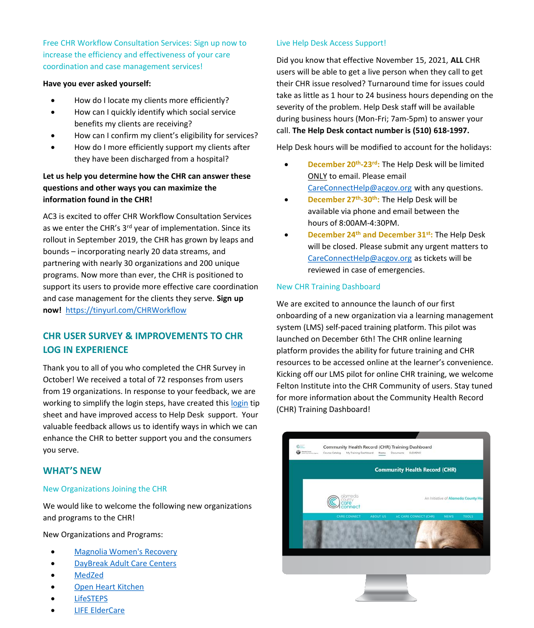Free CHR Workflow Consultation Services: Sign up now to increase the efficiency and effectiveness of your care coordination and case management services!

#### **Have you ever asked yourself:**

- How do I locate my clients more efficiently?
- How can I quickly identify which social service benefits my clients are receiving?
- How can I confirm my client's eligibility for services?
- How do I more efficiently support my clients after they have been discharged from a hospital?

## **Let us help you determine how the CHR can answer these questions and other ways you can maximize the information found in the CHR!**

AC3 is excited to offer CHR Workflow Consultation Services as we enter the CHR's 3<sup>rd</sup> year of implementation. Since its rollout in September 2019, the CHR has grown by leaps and bounds – incorporating nearly 20 data streams, and partnering with nearly 30 organizations and 200 unique programs. Now more than ever, the CHR is positioned to support its users to provide more effective care coordination and case management for the clients they serve. **Sign up now!** [https://tinyurl.com/CHRWorkflow](https://nam02.safelinks.protection.outlook.com/?url=https%3A%2F%2Ftinyurl.com%2FCHRWorkflow&data=04%7C01%7Ckatsmith%40pcgus.com%7Cc89887757e54447979cd08d97fa95bfd%7Cd9b110c34c254379b97ae248938cc17b%7C0%7C0%7C637681187675121751%7CUnknown%7CTWFpbGZsb3d8eyJWIjoiMC4wLjAwMDAiLCJQIjoiV2luMzIiLCJBTiI6Ik1haWwiLCJXVCI6Mn0%3D%7C1000&sdata=knppKKsLxFUYj8dWLncL5bD%2F%2BaR9bkSwUCeJcxqoplc%3D&reserved=0)

# **CHR USER SURVEY & IMPROVEMENTS TO CHR LOG IN EXPERIENCE**

Thank you to all of you who completed the CHR Survey in October! We received a total of 72 responses from users from 19 organizations. In response to your feedback, we are working to simplify the [login](https://careconnect.elemenohealth.com/#/resource/QR65966fb677cfe7059b91?source=link) steps, have created this login tip sheet and have improved access to Help Desk support. Your valuable feedback allows us to identify ways in which we can enhance the CHR to better support you and the consumers you serve.

## **WHAT'S NEW**

### New Organizations Joining the CHR

We would like to welcome the following new organizations and programs to the CHR!

New Organizations and Programs:

- [Magnolia Women's Recovery](https://magnoliarecovery.org/)
- DayBreak [Adult Care Centers](https://www.daybreakcenters.org/)
- [MedZed](https://nam02.safelinks.protection.outlook.com/?url=https%3A%2F%2Fwww.mymedzed.com%2F&data=04%7C01%7Ckatsmith%40pcgus.com%7C178ac3055af940aad22d08d9b9c67bf8%7Cd9b110c34c254379b97ae248938cc17b%7C0%7C0%7C637745084442901447%7CUnknown%7CTWFpbGZsb3d8eyJWIjoiMC4wLjAwMDAiLCJQIjoiV2luMzIiLCJBTiI6Ik1haWwiLCJXVCI6Mn0%3D%7C3000&sdata=d%2FCAEZjuXP5iJN8Odi1s1b6NpOW0GxmoSnkBfzzvsyU%3D&reserved=0)
- [Open Heart Kitchen](https://www.openheartkitchen.org/)
- **[LifeSTEPS](https://lifestepsusa.org/)**
- [LIFE ElderCare](https://lifeeldercare.org/)

#### Live Help Desk Access Support!

Did you know that effective November 15, 2021, **ALL** CHR users will be able to get a live person when they call to get their CHR issue resolved? Turnaround time for issues could take as little as 1 hour to 24 business hours depending on the severity of the problem. Help Desk staff will be available during business hours (Mon-Fri; 7am-5pm) to answer your call. **The Help Desk contact number is (510) 618-1997.**

Help Desk hours will be modified to account for the holidays:

- **December 20th -23rd:** The Help Desk will be limited ONLY to email. Please email [CareConnectHelp@acgov.org](mailto:CareConnectHelp@acgov.org) with any questions.
- **December 27th -30th:** The Help Desk will be available via phone and email between the hours of 8:00AM-4:30PM.
- **December 24th and December 31st:** The Help Desk will be closed. Please submit any urgent matters to [CareConnectHelp@acgov.org](mailto:CareConnectHelp@acgov.org) as tickets will be reviewed in case of emergencies.

### New CHR Training Dashboard

We are excited to announce the launch of our first onboarding of a new organization via a learning management system (LMS) self-paced training platform. This pilot was launched on December 6th! The CHR online learning platform provides the ability for future training and CHR resources to be accessed online at the learner's convenience. Kicking off our LMS pilot for online CHR training, we welcome Felton Institute into the CHR Community of users. Stay tuned for more information about the Community Health Record (CHR) Training Dashboard!

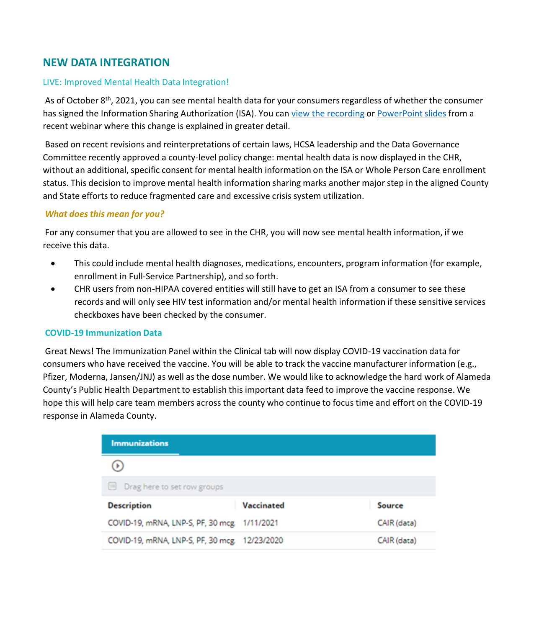# **NEW DATA INTEGRATION**

## LIVE: Improved Mental Health Data Integration!

As of October 8<sup>th</sup>, 2021, you can see mental health data for your consumers regardless of whether the consumer has signed the Information Sharing Authorization (ISA). You can [view the recording](https://nam02.safelinks.protection.outlook.com/?url=https%3A%2F%2Fcareconnect.elemenohealth.com%2F%23%2Fresource%2FQR729c483bc7a0d7ff3153%3Fsource%3Dreference&data=04%7C01%7Ckatsmith%40pcgus.com%7C44daaa39691c4f1cd4d908d9b53f049b%7Cd9b110c34c254379b97ae248938cc17b%7C0%7C0%7C637740104534499260%7CUnknown%7CTWFpbGZsb3d8eyJWIjoiMC4wLjAwMDAiLCJQIjoiV2luMzIiLCJBTiI6Ik1haWwiLCJXVCI6Mn0%3D%7C3000&sdata=YNmDSzTf3MVZ8iOtGP6sqwJC%2FQW%2FLTheqVG3N%2FTS9JY%3D&reserved=0) or [PowerPoint slides](https://nam02.safelinks.protection.outlook.com/?url=https%3A%2F%2Fcareconnect.elemenohealth.com%2F%23%2Fresource%2FQR676d3b4e177a33b75156%3Fsource%3Dreference&data=04%7C01%7Ckatsmith%40pcgus.com%7C44daaa39691c4f1cd4d908d9b53f049b%7Cd9b110c34c254379b97ae248938cc17b%7C0%7C0%7C637740104534509208%7CUnknown%7CTWFpbGZsb3d8eyJWIjoiMC4wLjAwMDAiLCJQIjoiV2luMzIiLCJBTiI6Ik1haWwiLCJXVCI6Mn0%3D%7C3000&sdata=MqP6xUFYH5Sjk9CxBCN7VFAovDGzz4x5AA5CTTU3u84%3D&reserved=0) from a recent webinar where this change is explained in greater detail.

Based on recent revisions and reinterpretations of certain laws, HCSA leadership and the Data Governance Committee recently approved a county-level policy change: mental health data is now displayed in the CHR, without an additional, specific consent for mental health information on the ISA or Whole Person Care enrollment status. This decision to improve mental health information sharing marks another major step in the aligned County and State efforts to reduce fragmented care and excessive crisis system utilization.

## *What does this mean for you?*

For any consumer that you are allowed to see in the CHR, you will now see mental health information, if we receive this data.

- This could include mental health diagnoses, medications, encounters, program information (for example, enrollment in Full-Service Partnership), and so forth.
- CHR users from non-HIPAA covered entities will still have to get an ISA from a consumer to see these records and will only see HIV test information and/or mental health information if these sensitive services checkboxes have been checked by the consumer.

## **COVID-19 Immunization Data**

Great News! The Immunization Panel within the Clinical tab will now display COVID-19 vaccination data for consumers who have received the vaccine. You will be able to track the vaccine manufacturer information (e.g., Pfizer, Moderna, Jansen/JNJ) as well as the dose number. We would like to acknowledge the hard work of Alameda County's Public Health Department to establish this important data feed to improve the vaccine response. We hope this will help care team members across the county who continue to focus time and effort on the COVID-19 response in Alameda County.

| <b>Immunizations</b>                         |            |             |
|----------------------------------------------|------------|-------------|
| D                                            |            |             |
| Drag here to set row groups<br>画             |            |             |
| <b>Description</b>                           | Vaccinated | Source      |
| COVID-19, mRNA, LNP-S, PF, 30 mcg. 1/11/2021 |            | CAIR (data) |
| COVID-19, mRNA, LNP-S, PF, 30 mcg 12/23/2020 |            | CAIR (data) |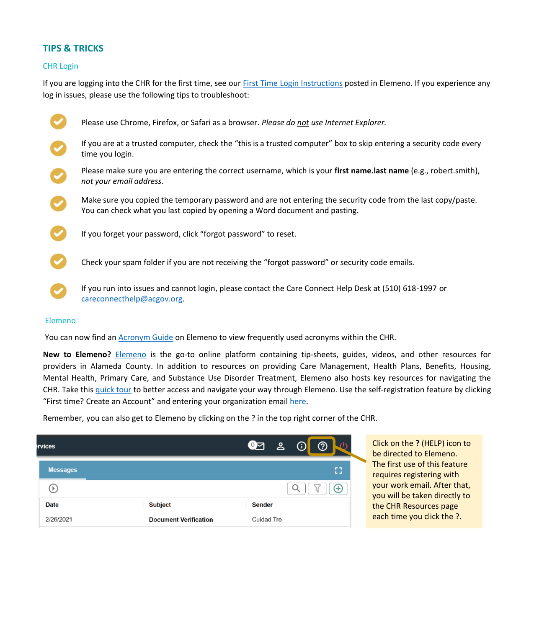## **TIPS & TRICKS**

### CHR Login

If you are logging into the CHR for the first time, see our [First Time Login Instructions](https://careconnect.elemenohealth.com/#/resource/QR65966fb677cfe7059b91?source=link) posted in Elemeno. If you experience any log in issues, please use the following tips to troubleshoot:

| Please use Chrome, Firefox, or Safari as a browser. Please do not use Internet Explorer.                                                                                                   |
|--------------------------------------------------------------------------------------------------------------------------------------------------------------------------------------------|
| If you are at a trusted computer, check the "this is a trusted computer" box to skip entering a security code every<br>time you login.                                                     |
| Please make sure you are entering the correct username, which is your first name.last name (e.g., robert.smith),<br>not your email address.                                                |
| Make sure you copied the temporary password and are not entering the security code from the last copy/paste.<br>You can check what you last copied by opening a Word document and pasting. |
| If you forget your password, click "forgot password" to reset.                                                                                                                             |
| Check your spam folder if you are not receiving the "forgot password" or security code emails.                                                                                             |
| If you run into issues and cannot login, please contact the Care Connect Help Desk at (510) 618-1997 or<br>careconnecthelp@acgov.org.                                                      |

#### Elemeno

You can now find an [Acronym Guide](https://careconnect.elemenohealth.com/#/resource/QR363d4256d51bc8c5284b?source=link&q=acronym%20guide#c) on Elemeno to view frequently used acronyms within the CHR.

**New to Elemeno?** [Elemeno](https://careconnect.elemenohealth.com/) is the go-to online platform containing tip-sheets, guides, videos, and other resources for providers in Alameda County. In addition to resources on providing Care Management, Health Plans, Benefits, Housing, Mental Health, Primary Care, and Substance Use Disorder Treatment, Elemeno also hosts key resources for navigating the CHR. Take this [quick](https://careconnect.elemenohealth.com/#/resource/QR3962170dad740c260516?source=resources) tour to better access and navigate your way through Elemeno. Use the self-registration feature by clicking "First time? Create an Account" and entering your organization email [here.](https://careconnect.elemenohealth.com/#/login)

Remember, you can also get to Elemeno by clicking on the ? in the top right corner of the CHR.

| rvices             |                              | $\bullet$ $\bullet$<br>$\odot$<br>൫ |
|--------------------|------------------------------|-------------------------------------|
| <b>Messages</b>    |                              | Ω                                   |
| $\triangleright$ ) |                              | +                                   |
| <b>Date</b>        | <b>Subject</b>               | <b>Sender</b>                       |
| 2/26/2021          | <b>Document Verification</b> | Cuidad Tre                          |

Click on the **?** (HELP) icon to be directed to Elemeno. The first use of this feature requires registering with your work email. After that, you will be taken directly to the CHR Resources page each time you click the ?.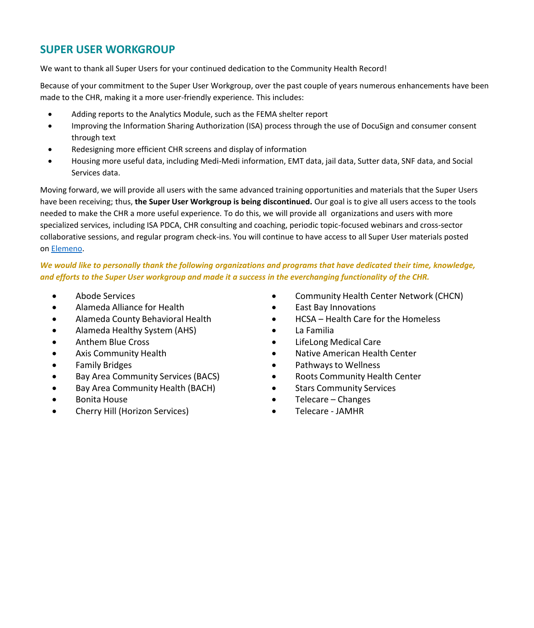# **SUPER USER WORKGROUP**

We want to thank all Super Users for your continued dedication to the Community Health Record!

Because of your commitment to the Super User Workgroup, over the past couple of years numerous enhancements have been made to the CHR, making it a more user-friendly experience. This includes:

- Adding reports to the Analytics Module, such as the FEMA shelter report
- Improving the Information Sharing Authorization (ISA) process through the use of DocuSign and consumer consent through text
- Redesigning more efficient CHR screens and display of information
- Housing more useful data, including Medi-Medi information, EMT data, jail data, Sutter data, SNF data, and Social Services data.

Moving forward, we will provide all users with the same advanced training opportunities and materials that the Super Users have been receiving; thus, **the Super User Workgroup is being discontinued.** Our goal is to give all users access to the tools needed to make the CHR a more useful experience. To do this, we will provide all organizations and users with more specialized services, including ISA PDCA, CHR consulting and coaching, periodic topic-focused webinars and cross-sector collaborative sessions, and regular program check-ins. You will continue to have access to all Super User materials posted on [Elemeno](https://careconnect.elemenohealth.com/#/login).

## *We would like to personally thank the following organizations and programs that have dedicated their time, knowledge, and efforts to the Super User workgroup and made it a success in the everchanging functionality of the CHR.*

- Abode Services
- Alameda Alliance for Health
- Alameda County Behavioral Health
- Alameda Healthy System (AHS)
- Anthem Blue Cross
- Axis Community Health
- Family Bridges
- Bay Area Community Services (BACS)
- Bay Area Community Health (BACH)
- Bonita House
- Cherry Hill (Horizon Services)
- Community Health Center Network (CHCN)
- East Bay Innovations
- HCSA Health Care for the Homeless
- La Familia
- LifeLong Medical Care
- Native American Health Center
- Pathways to Wellness
- Roots Community Health Center
- **Stars Community Services**
- Telecare Changes
- Telecare JAMHR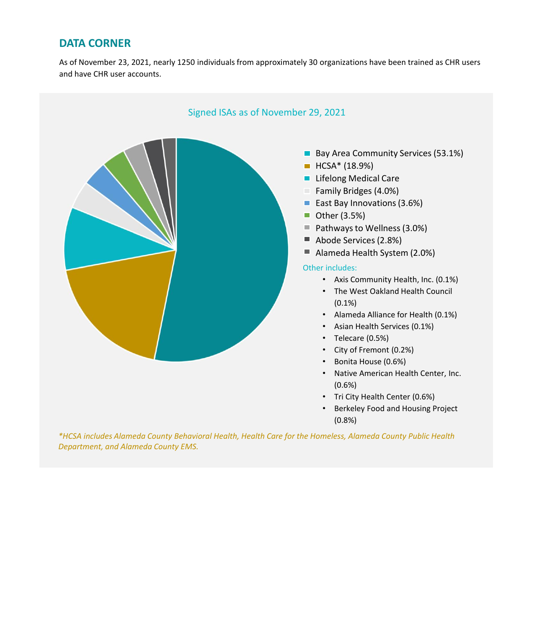# **DATA CORNER**

As of November 23, 2021, nearly 1250 individuals from approximately 30 organizations have been trained as CHR users and have CHR user accounts.



• Berkeley Food and Housing Project (0.8%)

*\*HCSA includes Alameda County Behavioral Health, Health Care for the Homeless, Alameda County Public Health Department, and Alameda County EMS.*